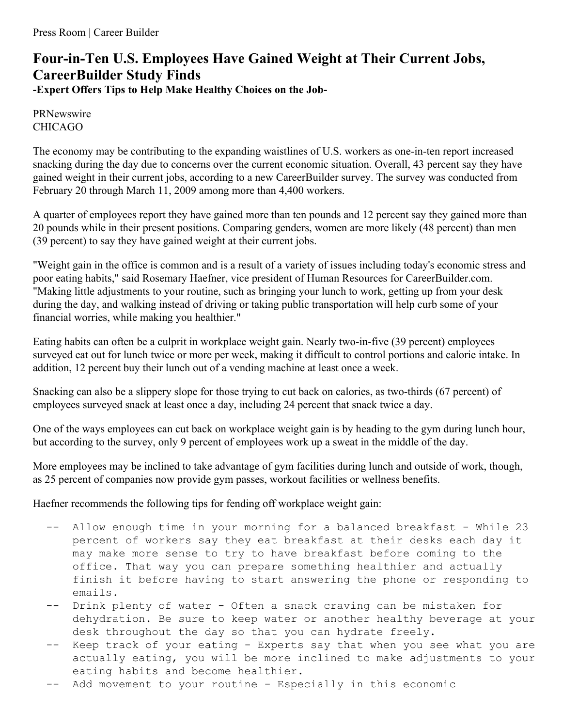## **Four-in-Ten U.S. Employees Have Gained Weight at Their Current Jobs, CareerBuilder Study Finds -Expert Offers Tips to Help Make Healthy Choices on the Job-**

PRNewswire CHICAGO

The economy may be contributing to the expanding waistlines of U.S. workers as one-in-ten report increased snacking during the day due to concerns over the current economic situation. Overall, 43 percent say they have gained weight in their current jobs, according to a new CareerBuilder survey. The survey was conducted from February 20 through March 11, 2009 among more than 4,400 workers.

A quarter of employees report they have gained more than ten pounds and 12 percent say they gained more than 20 pounds while in their present positions. Comparing genders, women are more likely (48 percent) than men (39 percent) to say they have gained weight at their current jobs.

"Weight gain in the office is common and is a result of a variety of issues including today's economic stress and poor eating habits," said Rosemary Haefner, vice president of Human Resources for CareerBuilder.com. "Making little adjustments to your routine, such as bringing your lunch to work, getting up from your desk during the day, and walking instead of driving or taking public transportation will help curb some of your financial worries, while making you healthier."

Eating habits can often be a culprit in workplace weight gain. Nearly two-in-five (39 percent) employees surveyed eat out for lunch twice or more per week, making it difficult to control portions and calorie intake. In addition, 12 percent buy their lunch out of a vending machine at least once a week.

Snacking can also be a slippery slope for those trying to cut back on calories, as two-thirds (67 percent) of employees surveyed snack at least once a day, including 24 percent that snack twice a day.

One of the ways employees can cut back on workplace weight gain is by heading to the gym during lunch hour, but according to the survey, only 9 percent of employees work up a sweat in the middle of the day.

More employees may be inclined to take advantage of gym facilities during lunch and outside of work, though, as 25 percent of companies now provide gym passes, workout facilities or wellness benefits.

Haefner recommends the following tips for fending off workplace weight gain:

- -- Allow enough time in your morning for a balanced breakfast While 23 percent of workers say they eat breakfast at their desks each day it may make more sense to try to have breakfast before coming to the office. That way you can prepare something healthier and actually finish it before having to start answering the phone or responding to emails.
- Drink plenty of water Often a snack craving can be mistaken for dehydration. Be sure to keep water or another healthy beverage at your desk throughout the day so that you can hydrate freely.
- Keep track of your eating Experts say that when you see what you are actually eating, you will be more inclined to make adjustments to your eating habits and become healthier.
- -- Add movement to your routine Especially in this economic